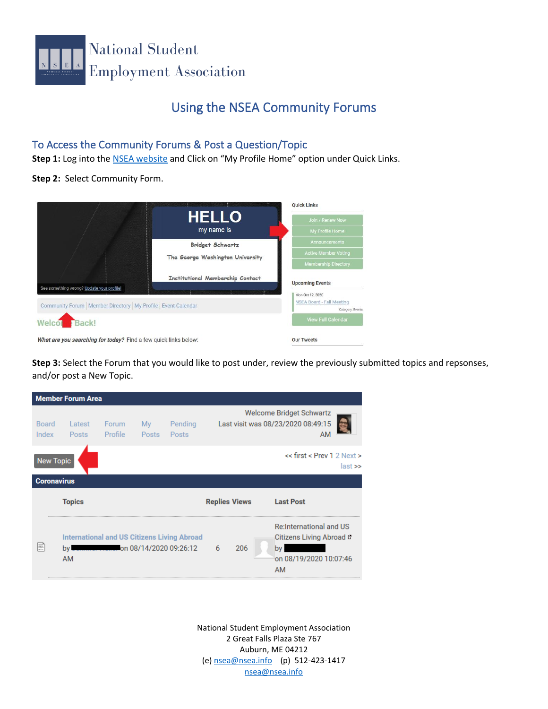

## Using the NSEA Community Forums

## To Access the Community Forums & Post a Question/Topic

Step 1: Log into the **NSEA website** and Click on "My Profile Home" option under Quick Links.

**Step 2:** Select Community Form.

|                                                                  |                                         | <b>Oujck Links</b>                            |  |
|------------------------------------------------------------------|-----------------------------------------|-----------------------------------------------|--|
|                                                                  | <b>HELLO</b>                            | Join / Renew Now                              |  |
|                                                                  | my name is                              | My Profile Home                               |  |
|                                                                  | <b>Bridget Schwartz</b>                 | <b>Announcements</b>                          |  |
|                                                                  | The George Washington University        | <b>Active Member Voting</b>                   |  |
|                                                                  |                                         | <b>Membership Directory</b>                   |  |
|                                                                  | <b>Institutional Membership Contact</b> | <b>Upcoming Events</b>                        |  |
| See something wrong? Update your profile!                        |                                         | Mon Oct 12, 2020                              |  |
| Community Forum   Member Directory   My Profile   Event Calendar |                                         | NSEA Board - Fall Meeting<br>Category: Events |  |
| Back!<br>Welcon                                                  |                                         | <b>View Full Calendar</b>                     |  |
| What are you searching for today? Find a few quick links below:  |                                         | <b>Our Tweets</b>                             |  |

**Step 3:** Select the Forum that you would like to post under, review the previously submitted topics and repsonses, and/or post a New Topic.

| <b>Member Forum Area</b> |                   |                  |             |                                                                              |                      |     |                                                                                                         |             |
|--------------------------|-------------------|------------------|-------------|------------------------------------------------------------------------------|----------------------|-----|---------------------------------------------------------------------------------------------------------|-------------|
| <b>Board</b><br>Index    | Latest<br>Posts   | Forum<br>Profile | My<br>Posts | Pending<br>Posts                                                             |                      |     | <b>Welcome Bridget Schwartz</b><br>Last visit was 08/23/2020 08:49:15                                   |             |
| <b>New Topic</b>         |                   |                  |             |                                                                              |                      |     | $<<$ first $<$ Prev 1 2 Next $>$                                                                        | $last \geq$ |
| <b>Coronavirus</b>       |                   |                  |             |                                                                              |                      |     |                                                                                                         |             |
|                          | <b>Topics</b>     |                  |             |                                                                              | <b>Replies Views</b> |     | <b>Last Post</b>                                                                                        |             |
|                          | by l<br><b>AM</b> |                  |             | <b>International and US Citizens Living Abroad</b><br>on 08/14/2020 09:26:12 | 6                    | 206 | <b>Re:International and US</b><br>Citizens Living Abroad L<br>bv<br>on 08/19/2020 10:07:46<br><b>AM</b> |             |

National Student Employment Association 2 Great Falls Plaza Ste 767 Auburn, ME 04212 (e) [nsea@nsea.info](mailto:nsea@nsea.info) (p) 512-423-1417 [nsea@nsea.info](mailto:nsea@nsea.info)